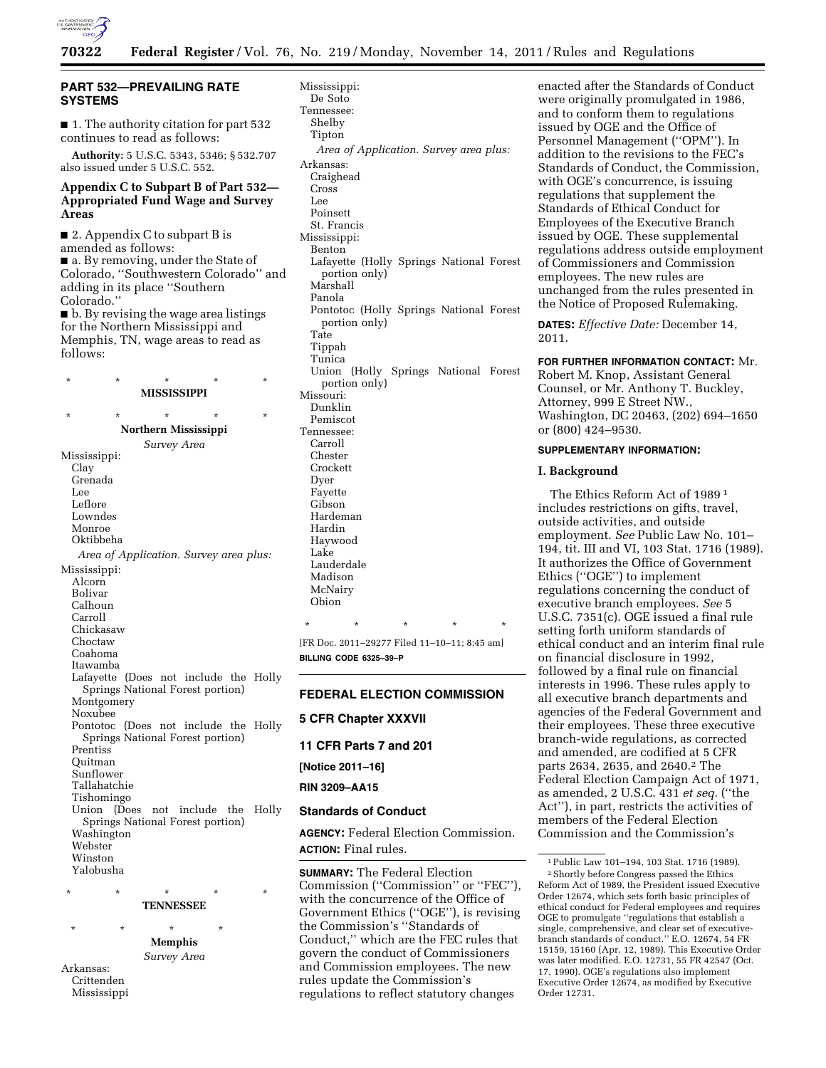

| PART 532—PREVAILING RATE<br><b>SYSTEMS</b>                                                                                                                                                                                                                                                                                                                                                                                                  | Μ                                 |
|---------------------------------------------------------------------------------------------------------------------------------------------------------------------------------------------------------------------------------------------------------------------------------------------------------------------------------------------------------------------------------------------------------------------------------------------|-----------------------------------|
| ■ 1. The authority citation for part 532<br>continues to read as follows:                                                                                                                                                                                                                                                                                                                                                                   | Tε                                |
| Authority: 5 U.S.C. 5343, 5346; § 532.707<br>also issued under 5 U.S.C. 552.                                                                                                                                                                                                                                                                                                                                                                | Aı                                |
| Appendix C to Subpart B of Part 532—<br><b>Appropriated Fund Wage and Survey</b><br><b>Areas</b>                                                                                                                                                                                                                                                                                                                                            |                                   |
| $\blacksquare$ 2. Appendix C to subpart B is<br>amended as follows:<br>$\blacksquare$ a. By removing, under the State of<br>Colorado, "Southwestern Colorado" and<br>adding in its place "Southern<br>Colorado.''<br>$\blacksquare$ b. By revising the wage area listings<br>for the Northern Mississippi and<br>Memphis, TN, wage areas to read as<br>follows:                                                                             | М                                 |
|                                                                                                                                                                                                                                                                                                                                                                                                                                             |                                   |
| $\star$<br>$\star$<br>*<br>*<br>*<br>MISSISSIPPI                                                                                                                                                                                                                                                                                                                                                                                            | М                                 |
| $^\star$<br>$\star$<br>$\star$                                                                                                                                                                                                                                                                                                                                                                                                              |                                   |
| Northern Mississippi                                                                                                                                                                                                                                                                                                                                                                                                                        | Tε                                |
| Grenada<br>Lee<br>Leflore<br>Lowndes<br>Monroe<br>Oktibbeha<br>Area of Application. Survey area plus:<br>Mississippi:<br>Alcorn<br>Bolivar<br>Calhoun<br>Carroll<br>Chickasaw<br>Choctaw<br>Coahoma<br>Itawamba<br>Lafayette (Does not include the Holly<br>Springs National Forest portion)<br>Montgomery<br>Noxubee<br>(Does not include the<br>Pontotoc<br>Holly<br>Springs National Forest portion)<br>Prentiss<br>Quitman<br>Sunflower | [F]<br>BII<br>FI<br>5<br>11<br>[N |
| Tallahatchie<br>Tishomingo<br>not include the<br>Holly<br>Union<br>(Does<br>Springs National Forest portion)<br>Washington<br>Webster<br>Winston<br>Yalobusha                                                                                                                                                                                                                                                                               | RI<br>S1<br>A<br>A<br>sι<br>C.    |

\* \* \* \* \* **TENNESSEE** 

\*\*\*\* **Memphis**  *Survey Area* 

Crittenden Mississippi

Arkansas:

Mississippi: De Soto ennessee: Shelby Tipton *Area of Application. Survey area plus:*  rkansas: Craighead Cross Lee Poinsett St. Francis ississippi: Benton Lafayette (Holly Springs National Forest portion only) Marshall Panola Pontotoc (Holly Springs National Forest portion only) Tate Tippah Tunica Union (Holly Springs National Forest portion only) issouri: Dunklin Pemiscot Tennessee: Carroll Chester Crockett Dyer Fayette Gibson Hardeman Hardin Haywood Lake Lauderdale Madison McNairy **O**bion \* \* \* \* \*

[FR Doc. 2011–29277 Filed 11–10–11; 8:45 am] **BILLING CODE 6325–39–P** 

### **FEDERAL ELECTION COMMISSION**

**5 CFR Chapter XXXVII** 

**11 CFR Parts 7 and 201** 

**[Notice 2011–16]** 

**RIN 3209–AA15** 

#### **Standards of Conduct**

**AGENCY:** Federal Election Commission. **ACTION:** Final rules.

**SUMMARY:** The Federal Election ommission ("Commission" or "FEC"), with the concurrence of the Office of Government Ethics (''OGE''), is revising the Commission's ''Standards of Conduct,'' which are the FEC rules that govern the conduct of Commissioners and Commission employees. The new rules update the Commission's regulations to reflect statutory changes

enacted after the Standards of Conduct were originally promulgated in 1986, and to conform them to regulations issued by OGE and the Office of Personnel Management (''OPM''). In addition to the revisions to the FEC's Standards of Conduct, the Commission, with OGE's concurrence, is issuing regulations that supplement the Standards of Ethical Conduct for Employees of the Executive Branch issued by OGE. These supplemental regulations address outside employment of Commissioners and Commission employees. The new rules are unchanged from the rules presented in the Notice of Proposed Rulemaking.

**DATES:** *Effective Date:* December 14, 2011.

**FOR FURTHER INFORMATION CONTACT:** Mr. Robert M. Knop, Assistant General Counsel, or Mr. Anthony T. Buckley, Attorney, 999 E Street NW., Washington, DC 20463, (202) 694–1650 or (800) 424–9530.

### **SUPPLEMENTARY INFORMATION:**

#### **I. Background**

The Ethics Reform Act of 1989 1 includes restrictions on gifts, travel, outside activities, and outside employment. *See* Public Law No. 101– 194, tit. III and VI, 103 Stat. 1716 (1989). It authorizes the Office of Government Ethics (''OGE'') to implement regulations concerning the conduct of executive branch employees. *See* 5 U.S.C. 7351(c). OGE issued a final rule setting forth uniform standards of ethical conduct and an interim final rule on financial disclosure in 1992, followed by a final rule on financial interests in 1996. These rules apply to all executive branch departments and agencies of the Federal Government and their employees. These three executive branch-wide regulations, as corrected and amended, are codified at 5 CFR parts 2634, 2635, and 2640.2 The Federal Election Campaign Act of 1971, as amended, 2 U.S.C. 431 *et seq.* (''the Act''), in part, restricts the activities of members of the Federal Election Commission and the Commission's

<sup>1</sup>Public Law 101–194, 103 Stat. 1716 (1989). 2Shortly before Congress passed the Ethics Reform Act of 1989, the President issued Executive Order 12674, which sets forth basic principles of ethical conduct for Federal employees and requires OGE to promulgate ''regulations that establish a single, comprehensive, and clear set of executivebranch standards of conduct.'' E.O. 12674, 54 FR 15159, 15160 (Apr. 12, 1989). This Executive Order was later modified. E.O. 12731, 55 FR 42547 (Oct. 17, 1990). OGE's regulations also implement Executive Order 12674, as modified by Executive Order 12731.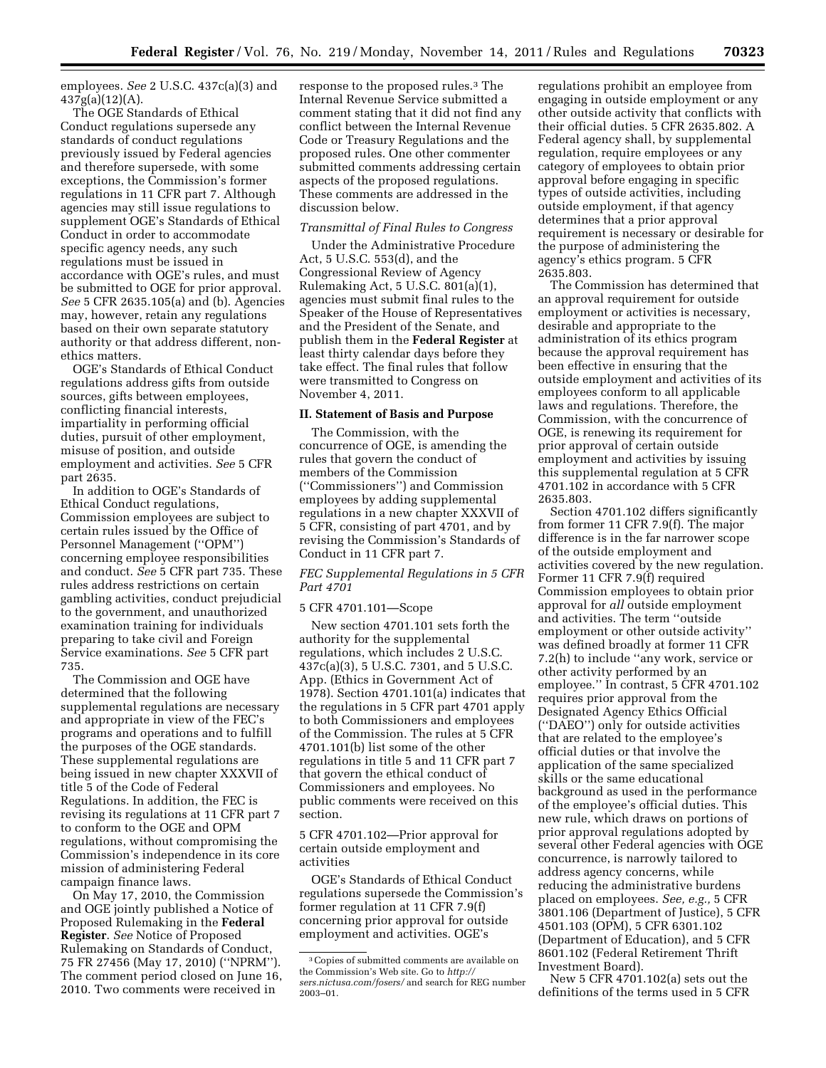employees. *See* 2 U.S.C. 437c(a)(3) and  $437g(a)(12)(A)$ .

The OGE Standards of Ethical Conduct regulations supersede any standards of conduct regulations previously issued by Federal agencies and therefore supersede, with some exceptions, the Commission's former regulations in 11 CFR part 7. Although agencies may still issue regulations to supplement OGE's Standards of Ethical Conduct in order to accommodate specific agency needs, any such regulations must be issued in accordance with OGE's rules, and must be submitted to OGE for prior approval. *See* 5 CFR 2635.105(a) and (b). Agencies may, however, retain any regulations based on their own separate statutory authority or that address different, nonethics matters.

OGE's Standards of Ethical Conduct regulations address gifts from outside sources, gifts between employees, conflicting financial interests, impartiality in performing official duties, pursuit of other employment, misuse of position, and outside employment and activities. *See* 5 CFR part 2635.

In addition to OGE's Standards of Ethical Conduct regulations, Commission employees are subject to certain rules issued by the Office of Personnel Management (''OPM'') concerning employee responsibilities and conduct. *See* 5 CFR part 735. These rules address restrictions on certain gambling activities, conduct prejudicial to the government, and unauthorized examination training for individuals preparing to take civil and Foreign Service examinations. *See* 5 CFR part 735.

The Commission and OGE have determined that the following supplemental regulations are necessary and appropriate in view of the FEC's programs and operations and to fulfill the purposes of the OGE standards. These supplemental regulations are being issued in new chapter XXXVII of title 5 of the Code of Federal Regulations. In addition, the FEC is revising its regulations at 11 CFR part 7 to conform to the OGE and OPM regulations, without compromising the Commission's independence in its core mission of administering Federal campaign finance laws.

On May 17, 2010, the Commission and OGE jointly published a Notice of Proposed Rulemaking in the **Federal Register**. *See* Notice of Proposed Rulemaking on Standards of Conduct, 75 FR 27456 (May 17, 2010) (''NPRM''). The comment period closed on June 16, 2010. Two comments were received in

response to the proposed rules.3 The Internal Revenue Service submitted a comment stating that it did not find any conflict between the Internal Revenue Code or Treasury Regulations and the proposed rules. One other commenter submitted comments addressing certain aspects of the proposed regulations. These comments are addressed in the discussion below.

## *Transmittal of Final Rules to Congress*

Under the Administrative Procedure Act, 5 U.S.C. 553(d), and the Congressional Review of Agency Rulemaking Act, 5 U.S.C. 801(a)(1), agencies must submit final rules to the Speaker of the House of Representatives and the President of the Senate, and publish them in the **Federal Register** at least thirty calendar days before they take effect. The final rules that follow were transmitted to Congress on November 4, 2011.

### **II. Statement of Basis and Purpose**

The Commission, with the concurrence of OGE, is amending the rules that govern the conduct of members of the Commission (''Commissioners'') and Commission employees by adding supplemental regulations in a new chapter XXXVII of 5 CFR, consisting of part 4701, and by revising the Commission's Standards of Conduct in 11 CFR part 7.

## *FEC Supplemental Regulations in 5 CFR Part 4701*

## 5 CFR 4701.101—Scope

New section 4701.101 sets forth the authority for the supplemental regulations, which includes 2 U.S.C. 437c(a)(3), 5 U.S.C. 7301, and 5 U.S.C. App. (Ethics in Government Act of 1978). Section 4701.101(a) indicates that the regulations in 5 CFR part 4701 apply to both Commissioners and employees of the Commission. The rules at 5 CFR 4701.101(b) list some of the other regulations in title 5 and 11 CFR part 7 that govern the ethical conduct of Commissioners and employees. No public comments were received on this section.

5 CFR 4701.102—Prior approval for certain outside employment and activities

OGE's Standards of Ethical Conduct regulations supersede the Commission's former regulation at 11 CFR 7.9(f) concerning prior approval for outside employment and activities. OGE's

regulations prohibit an employee from engaging in outside employment or any other outside activity that conflicts with their official duties. 5 CFR 2635.802. A Federal agency shall, by supplemental regulation, require employees or any category of employees to obtain prior approval before engaging in specific types of outside activities, including outside employment, if that agency determines that a prior approval requirement is necessary or desirable for the purpose of administering the agency's ethics program. 5 CFR 2635.803.

The Commission has determined that an approval requirement for outside employment or activities is necessary, desirable and appropriate to the administration of its ethics program because the approval requirement has been effective in ensuring that the outside employment and activities of its employees conform to all applicable laws and regulations. Therefore, the Commission, with the concurrence of OGE, is renewing its requirement for prior approval of certain outside employment and activities by issuing this supplemental regulation at 5 CFR 4701.102 in accordance with 5 CFR 2635.803.

Section 4701.102 differs significantly from former 11 CFR 7.9(f). The major difference is in the far narrower scope of the outside employment and activities covered by the new regulation. Former 11 CFR 7.9(f) required Commission employees to obtain prior approval for *all* outside employment and activities. The term ''outside employment or other outside activity'' was defined broadly at former 11 CFR 7.2(h) to include ''any work, service or other activity performed by an employee.'' In contrast, 5 CFR 4701.102 requires prior approval from the Designated Agency Ethics Official (''DAEO'') only for outside activities that are related to the employee's official duties or that involve the application of the same specialized skills or the same educational background as used in the performance of the employee's official duties. This new rule, which draws on portions of prior approval regulations adopted by several other Federal agencies with OGE concurrence, is narrowly tailored to address agency concerns, while reducing the administrative burdens placed on employees. *See, e.g.,* 5 CFR 3801.106 (Department of Justice), 5 CFR 4501.103 (OPM), 5 CFR 6301.102 (Department of Education), and 5 CFR 8601.102 (Federal Retirement Thrift Investment Board).

New 5 CFR 4701.102(a) sets out the definitions of the terms used in 5 CFR

<sup>3</sup>Copies of submitted comments are available on the Commission's Web site. Go to *[http://](http://sers.nictusa.com/fosers/) [sers.nictusa.com/fosers/](http://sers.nictusa.com/fosers/)* and search for REG number 2003–01.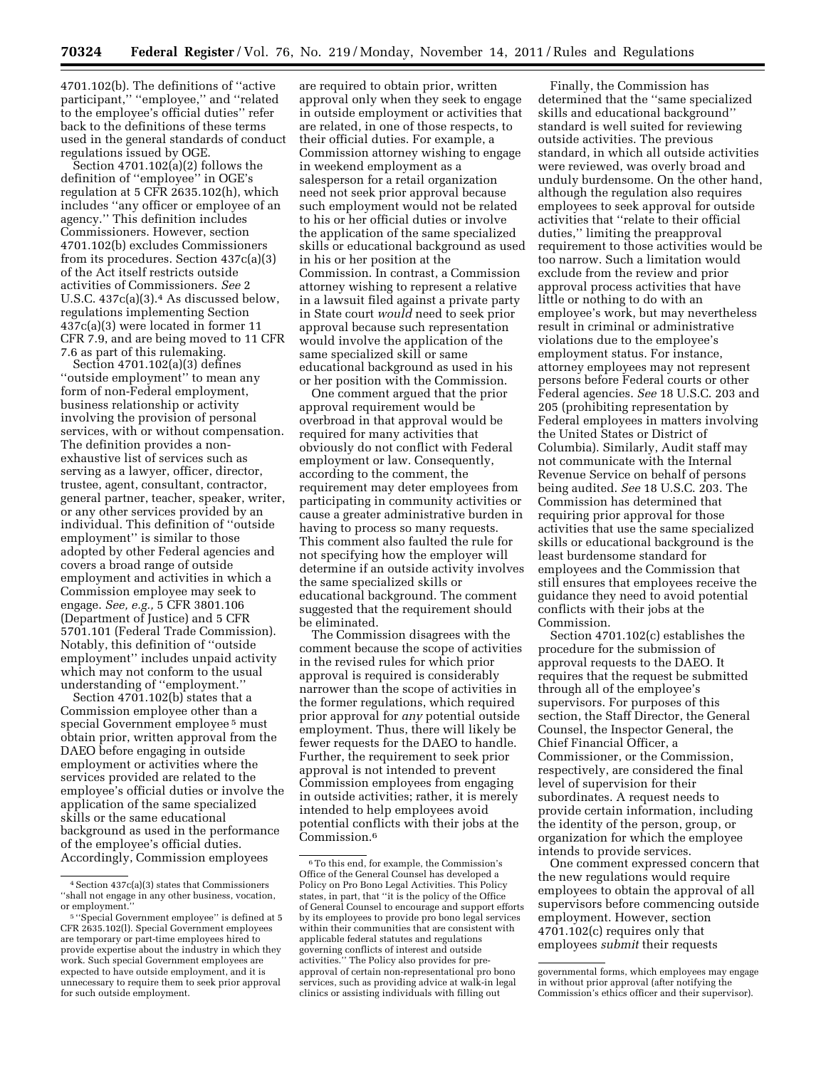4701.102(b). The definitions of ''active participant,'' ''employee,'' and ''related to the employee's official duties'' refer back to the definitions of these terms used in the general standards of conduct regulations issued by OGE.

Section 4701.102(a)(2) follows the definition of ''employee'' in OGE's regulation at 5 CFR 2635.102(h), which includes ''any officer or employee of an agency.'' This definition includes Commissioners. However, section 4701.102(b) excludes Commissioners from its procedures. Section 437c(a)(3) of the Act itself restricts outside activities of Commissioners. *See* 2 U.S.C. 437c(a)(3).4 As discussed below, regulations implementing Section 437c(a)(3) were located in former 11 CFR 7.9, and are being moved to 11 CFR 7.6 as part of this rulemaking.

Section 4701.102(a)(3) defines ''outside employment'' to mean any form of non-Federal employment, business relationship or activity involving the provision of personal services, with or without compensation. The definition provides a nonexhaustive list of services such as serving as a lawyer, officer, director, trustee, agent, consultant, contractor, general partner, teacher, speaker, writer, or any other services provided by an individual. This definition of ''outside employment'' is similar to those adopted by other Federal agencies and covers a broad range of outside employment and activities in which a Commission employee may seek to engage. *See, e.g.,* 5 CFR 3801.106 (Department of Justice) and 5 CFR 5701.101 (Federal Trade Commission). Notably, this definition of ''outside employment'' includes unpaid activity which may not conform to the usual understanding of ''employment.''

Section 4701.102(b) states that a Commission employee other than a special Government employee 5 must obtain prior, written approval from the DAEO before engaging in outside employment or activities where the services provided are related to the employee's official duties or involve the application of the same specialized skills or the same educational background as used in the performance of the employee's official duties. Accordingly, Commission employees

are required to obtain prior, written approval only when they seek to engage in outside employment or activities that are related, in one of those respects, to their official duties. For example, a Commission attorney wishing to engage in weekend employment as a salesperson for a retail organization need not seek prior approval because such employment would not be related to his or her official duties or involve the application of the same specialized skills or educational background as used in his or her position at the Commission. In contrast, a Commission attorney wishing to represent a relative in a lawsuit filed against a private party in State court *would* need to seek prior approval because such representation would involve the application of the same specialized skill or same educational background as used in his or her position with the Commission.

One comment argued that the prior approval requirement would be overbroad in that approval would be required for many activities that obviously do not conflict with Federal employment or law. Consequently, according to the comment, the requirement may deter employees from participating in community activities or cause a greater administrative burden in having to process so many requests. This comment also faulted the rule for not specifying how the employer will determine if an outside activity involves the same specialized skills or educational background. The comment suggested that the requirement should be eliminated.

The Commission disagrees with the comment because the scope of activities in the revised rules for which prior approval is required is considerably narrower than the scope of activities in the former regulations, which required prior approval for *any* potential outside employment. Thus, there will likely be fewer requests for the DAEO to handle. Further, the requirement to seek prior approval is not intended to prevent Commission employees from engaging in outside activities; rather, it is merely intended to help employees avoid potential conflicts with their jobs at the Commission.6

Finally, the Commission has determined that the ''same specialized skills and educational background'' standard is well suited for reviewing outside activities. The previous standard, in which all outside activities were reviewed, was overly broad and unduly burdensome. On the other hand, although the regulation also requires employees to seek approval for outside activities that ''relate to their official duties,'' limiting the preapproval requirement to those activities would be too narrow. Such a limitation would exclude from the review and prior approval process activities that have little or nothing to do with an employee's work, but may nevertheless result in criminal or administrative violations due to the employee's employment status. For instance, attorney employees may not represent persons before Federal courts or other Federal agencies. *See* 18 U.S.C. 203 and 205 (prohibiting representation by Federal employees in matters involving the United States or District of Columbia). Similarly, Audit staff may not communicate with the Internal Revenue Service on behalf of persons being audited. *See* 18 U.S.C. 203. The Commission has determined that requiring prior approval for those activities that use the same specialized skills or educational background is the least burdensome standard for employees and the Commission that still ensures that employees receive the guidance they need to avoid potential conflicts with their jobs at the Commission.

Section 4701.102(c) establishes the procedure for the submission of approval requests to the DAEO. It requires that the request be submitted through all of the employee's supervisors. For purposes of this section, the Staff Director, the General Counsel, the Inspector General, the Chief Financial Officer, a Commissioner, or the Commission, respectively, are considered the final level of supervision for their subordinates. A request needs to provide certain information, including the identity of the person, group, or organization for which the employee intends to provide services.

One comment expressed concern that the new regulations would require employees to obtain the approval of all supervisors before commencing outside employment. However, section 4701.102(c) requires only that employees *submit* their requests

<sup>4</sup>Section 437c(a)(3) states that Commissioners ''shall not engage in any other business, vocation, or employment.

<sup>5</sup> ''Special Government employee'' is defined at 5 CFR 2635.102(l). Special Government employees are temporary or part-time employees hired to provide expertise about the industry in which they work. Such special Government employees are expected to have outside employment, and it is unnecessary to require them to seek prior approval for such outside employment.

<sup>6</sup>To this end, for example, the Commission's Office of the General Counsel has developed a Policy on Pro Bono Legal Activities. This Policy states, in part, that ''it is the policy of the Office of General Counsel to encourage and support efforts by its employees to provide pro bono legal services within their communities that are consistent with applicable federal statutes and regulations governing conflicts of interest and outside activities.'' The Policy also provides for preapproval of certain non-representational pro bono services, such as providing advice at walk-in legal clinics or assisting individuals with filling out

governmental forms, which employees may engage in without prior approval (after notifying the Commission's ethics officer and their supervisor).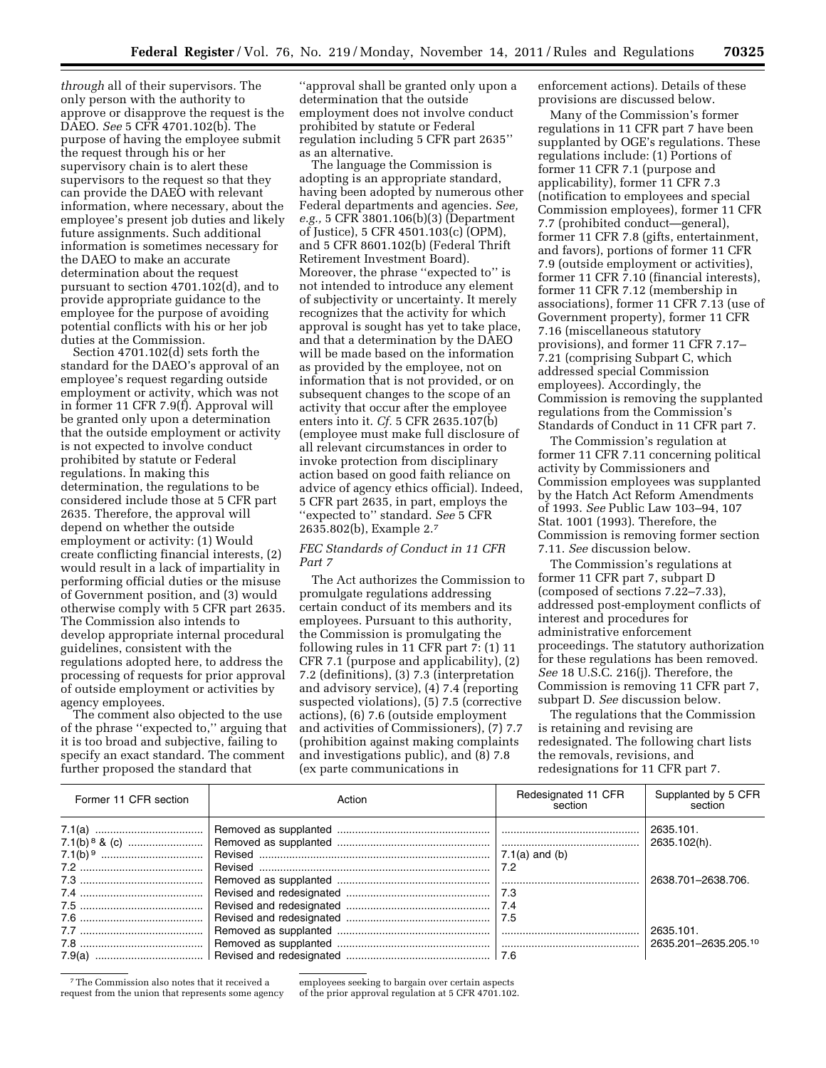*through* all of their supervisors. The only person with the authority to approve or disapprove the request is the DAEO. *See* 5 CFR 4701.102(b). The purpose of having the employee submit the request through his or her supervisory chain is to alert these supervisors to the request so that they can provide the DAEO with relevant information, where necessary, about the employee's present job duties and likely future assignments. Such additional information is sometimes necessary for the DAEO to make an accurate determination about the request pursuant to section 4701.102(d), and to provide appropriate guidance to the employee for the purpose of avoiding potential conflicts with his or her job duties at the Commission.

Section 4701.102(d) sets forth the standard for the DAEO's approval of an employee's request regarding outside employment or activity, which was not in former 11 CFR 7.9(f). Approval will be granted only upon a determination that the outside employment or activity is not expected to involve conduct prohibited by statute or Federal regulations. In making this determination, the regulations to be considered include those at 5 CFR part 2635. Therefore, the approval will depend on whether the outside employment or activity: (1) Would create conflicting financial interests, (2) would result in a lack of impartiality in performing official duties or the misuse of Government position, and (3) would otherwise comply with 5 CFR part 2635. The Commission also intends to develop appropriate internal procedural guidelines, consistent with the regulations adopted here, to address the processing of requests for prior approval of outside employment or activities by agency employees.

The comment also objected to the use of the phrase ''expected to,'' arguing that it is too broad and subjective, failing to specify an exact standard. The comment further proposed the standard that

''approval shall be granted only upon a determination that the outside employment does not involve conduct prohibited by statute or Federal regulation including 5 CFR part 2635'' as an alternative.

The language the Commission is adopting is an appropriate standard, having been adopted by numerous other Federal departments and agencies. *See, e.g.,* 5 CFR 3801.106(b)(3) (Department of Justice), 5 CFR 4501.103(c) (OPM), and 5 CFR 8601.102(b) (Federal Thrift Retirement Investment Board). Moreover, the phrase ''expected to'' is not intended to introduce any element of subjectivity or uncertainty. It merely recognizes that the activity for which approval is sought has yet to take place, and that a determination by the DAEO will be made based on the information as provided by the employee, not on information that is not provided, or on subsequent changes to the scope of an activity that occur after the employee enters into it. *Cf.* 5 CFR 2635.107(b) (employee must make full disclosure of all relevant circumstances in order to invoke protection from disciplinary action based on good faith reliance on advice of agency ethics official). Indeed, 5 CFR part 2635, in part, employs the ''expected to'' standard. *See* 5 CFR 2635.802(b), Example 2.7

## *FEC Standards of Conduct in 11 CFR Part 7*

The Act authorizes the Commission to promulgate regulations addressing certain conduct of its members and its employees. Pursuant to this authority, the Commission is promulgating the following rules in 11 CFR part 7: (1) 11 CFR 7.1 (purpose and applicability), (2) 7.2 (definitions), (3) 7.3 (interpretation and advisory service), (4) 7.4 (reporting suspected violations), (5) 7.5 (corrective actions), (6) 7.6 (outside employment and activities of Commissioners), (7) 7.7 (prohibition against making complaints and investigations public), and (8) 7.8 (ex parte communications in

enforcement actions). Details of these provisions are discussed below.

Many of the Commission's former regulations in 11 CFR part 7 have been supplanted by OGE's regulations. These regulations include: (1) Portions of former 11 CFR 7.1 (purpose and applicability), former 11 CFR 7.3 (notification to employees and special Commission employees), former 11 CFR 7.7 (prohibited conduct—general), former 11 CFR 7.8 (gifts, entertainment, and favors), portions of former 11 CFR 7.9 (outside employment or activities), former 11 CFR 7.10 (financial interests), former 11 CFR 7.12 (membership in associations), former 11 CFR 7.13 (use of Government property), former 11 CFR 7.16 (miscellaneous statutory provisions), and former 11 CFR 7.17– 7.21 (comprising Subpart C, which addressed special Commission employees). Accordingly, the Commission is removing the supplanted regulations from the Commission's Standards of Conduct in 11 CFR part 7.

The Commission's regulation at former 11 CFR 7.11 concerning political activity by Commissioners and Commission employees was supplanted by the Hatch Act Reform Amendments of 1993. *See* Public Law 103–94, 107 Stat. 1001 (1993). Therefore, the Commission is removing former section 7.11. *See* discussion below.

The Commission's regulations at former 11 CFR part 7, subpart D (composed of sections 7.22–7.33), addressed post-employment conflicts of interest and procedures for administrative enforcement proceedings. The statutory authorization for these regulations has been removed. *See* 18 U.S.C. 216(j). Therefore, the Commission is removing 11 CFR part 7, subpart D. *See* discussion below.

The regulations that the Commission is retaining and revising are redesignated. The following chart lists the removals, revisions, and redesignations for 11 CFR part 7.

| Former 11 CFR section | Action | Redesignated 11 CFR<br>section | Supplanted by 5 CFR<br>section    |
|-----------------------|--------|--------------------------------|-----------------------------------|
|                       |        | 7.1(a) and (b)<br>7.2          | 2635.101.<br>2635.102(h).         |
|                       |        |                                | 2638.701-2638.706.                |
|                       |        |                                | 2635.101.<br>2635.201-2635.205.10 |

7The Commission also notes that it received a request from the union that represents some agency

employees seeking to bargain over certain aspects of the prior approval regulation at 5 CFR 4701.102.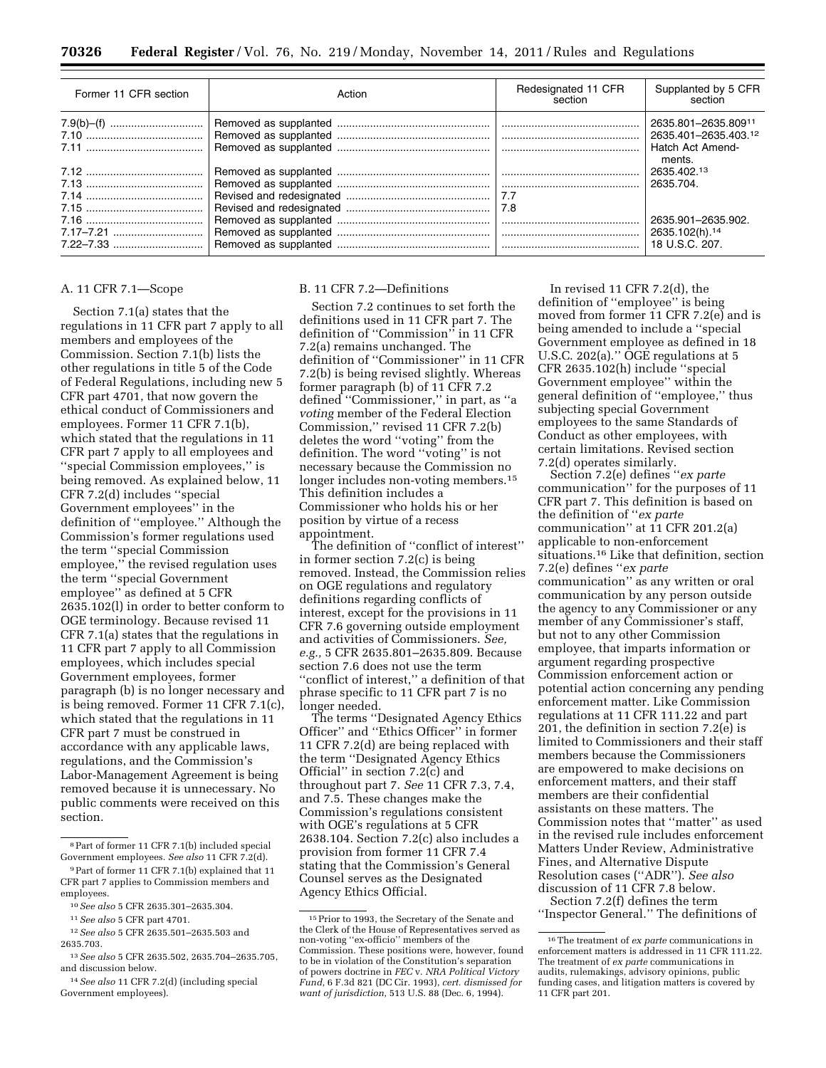| Former 11 CFR section | Action | Redesignated 11 CFR<br>section | Supplanted by 5 CFR<br>section                                  |
|-----------------------|--------|--------------------------------|-----------------------------------------------------------------|
|                       |        |                                | 2635.801-2635.80911<br>2635.401-2635.403.12<br>Hatch Act Amend- |
|                       |        |                                | ments.<br>2635.402.13<br>2635.704.                              |
|                       |        |                                | 2635.901-2635.902.                                              |
|                       |        |                                | 2635.102(h). <sup>14</sup><br>18 U.S.C. 207.                    |

## A. 11 CFR 7.1—Scope

Section 7.1(a) states that the regulations in 11 CFR part 7 apply to all members and employees of the Commission. Section 7.1(b) lists the other regulations in title 5 of the Code of Federal Regulations, including new 5 CFR part 4701, that now govern the ethical conduct of Commissioners and employees. Former 11 CFR 7.1(b), which stated that the regulations in 11 CFR part 7 apply to all employees and ''special Commission employees,'' is being removed. As explained below, 11 CFR 7.2(d) includes ''special Government employees'' in the definition of ''employee.'' Although the Commission's former regulations used the term ''special Commission employee,'' the revised regulation uses the term ''special Government employee'' as defined at 5 CFR 2635.102(l) in order to better conform to OGE terminology. Because revised 11 CFR 7.1(a) states that the regulations in 11 CFR part 7 apply to all Commission employees, which includes special Government employees, former paragraph (b) is no longer necessary and is being removed. Former 11 CFR 7.1(c), which stated that the regulations in 11 CFR part 7 must be construed in accordance with any applicable laws, regulations, and the Commission's Labor-Management Agreement is being removed because it is unnecessary. No public comments were received on this section.

11*See also* 5 CFR part 4701.

### B. 11 CFR 7.2—Definitions

Section 7.2 continues to set forth the definitions used in 11 CFR part 7. The definition of ''Commission'' in 11 CFR 7.2(a) remains unchanged. The definition of ''Commissioner'' in 11 CFR 7.2(b) is being revised slightly. Whereas former paragraph (b) of 11 CFR 7.2 defined ''Commissioner,'' in part, as ''a *voting* member of the Federal Election Commission,'' revised 11 CFR 7.2(b) deletes the word ''voting'' from the definition. The word ''voting'' is not necessary because the Commission no longer includes non-voting members.15 This definition includes a Commissioner who holds his or her position by virtue of a recess appointment.

The definition of ''conflict of interest'' in former section 7.2(c) is being removed. Instead, the Commission relies on OGE regulations and regulatory definitions regarding conflicts of interest, except for the provisions in 11 CFR 7.6 governing outside employment and activities of Commissioners. *See, e.g.,* 5 CFR 2635.801–2635.809. Because section 7.6 does not use the term ''conflict of interest,'' a definition of that phrase specific to 11 CFR part 7 is no longer needed.

The terms ''Designated Agency Ethics Officer'' and ''Ethics Officer'' in former 11 CFR 7.2(d) are being replaced with the term ''Designated Agency Ethics Official'' in section 7.2(c) and throughout part 7. *See* 11 CFR 7.3, 7.4, and 7.5. These changes make the Commission's regulations consistent with OGE's regulations at 5 CFR 2638.104. Section 7.2(c) also includes a provision from former 11 CFR 7.4 stating that the Commission's General Counsel serves as the Designated Agency Ethics Official.

In revised 11 CFR 7.2(d), the definition of ''employee'' is being moved from former 11 CFR 7.2(e) and is being amended to include a ''special Government employee as defined in 18 U.S.C. 202(a).'' OGE regulations at 5 CFR 2635.102(h) include ''special Government employee'' within the general definition of ''employee,'' thus subjecting special Government employees to the same Standards of Conduct as other employees, with certain limitations. Revised section 7.2(d) operates similarly.

Section 7.2(e) defines ''*ex parte*  communication'' for the purposes of 11 CFR part 7. This definition is based on the definition of ''*ex parte*  communication'' at 11 CFR 201.2(a) applicable to non-enforcement situations.16 Like that definition, section 7.2(e) defines ''*ex parte*  communication'' as any written or oral communication by any person outside the agency to any Commissioner or any member of any Commissioner's staff, but not to any other Commission employee, that imparts information or argument regarding prospective Commission enforcement action or potential action concerning any pending enforcement matter. Like Commission regulations at 11 CFR 111.22 and part 201, the definition in section 7.2(e) is limited to Commissioners and their staff members because the Commissioners are empowered to make decisions on enforcement matters, and their staff members are their confidential assistants on these matters. The Commission notes that ''matter'' as used in the revised rule includes enforcement Matters Under Review, Administrative Fines, and Alternative Dispute Resolution cases (''ADR''). *See also*  discussion of 11 CFR 7.8 below. Section 7.2(f) defines the term

''Inspector General.'' The definitions of

<sup>8</sup>Part of former 11 CFR 7.1(b) included special Government employees. *See also* 11 CFR 7.2(d).

<sup>9</sup>Part of former 11 CFR 7.1(b) explained that 11 CFR part 7 applies to Commission members and employees.

<sup>10</sup>*See also* 5 CFR 2635.301–2635.304.

<sup>12</sup>*See also* 5 CFR 2635.501–2635.503 and 2635.703.

<sup>13</sup>*See also* 5 CFR 2635.502, 2635.704–2635.705, and discussion below.

<sup>14</sup>*See also* 11 CFR 7.2(d) (including special Government employees).

<sup>15</sup>Prior to 1993, the Secretary of the Senate and the Clerk of the House of Representatives served as non-voting ''ex-officio'' members of the Commission. These positions were, however, found to be in violation of the Constitution's separation of powers doctrine in *FEC* v. *NRA Political Victory Fund,* 6 F.3d 821 (DC Cir. 1993), *cert. dismissed for want of jurisdiction,* 513 U.S. 88 (Dec. 6, 1994).

<sup>16</sup>The treatment of *ex parte* communications in enforcement matters is addressed in 11 CFR 111.22. The treatment of *ex parte* communications in audits, rulemakings, advisory opinions, public funding cases, and litigation matters is covered by 11 CFR part 201.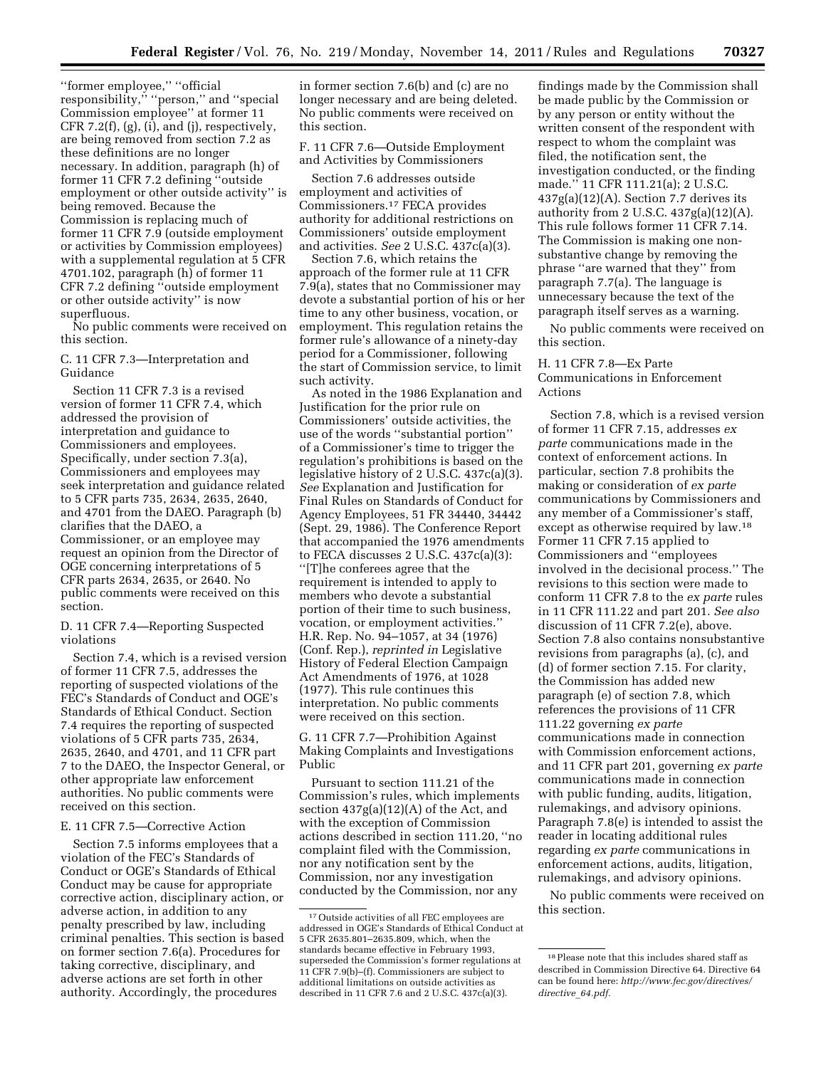''former employee,'' ''official responsibility," "person," and "special Commission employee'' at former 11 CFR 7.2(f), (g), (i), and (j), respectively, are being removed from section 7.2 as these definitions are no longer necessary. In addition, paragraph (h) of former 11 CFR 7.2 defining ''outside employment or other outside activity'' is being removed. Because the Commission is replacing much of former 11 CFR 7.9 (outside employment or activities by Commission employees) with a supplemental regulation at 5 CFR 4701.102, paragraph (h) of former 11 CFR 7.2 defining ''outside employment or other outside activity'' is now superfluous.

No public comments were received on this section.

## C. 11 CFR 7.3—Interpretation and Guidance

Section 11 CFR 7.3 is a revised version of former 11 CFR 7.4, which addressed the provision of interpretation and guidance to Commissioners and employees. Specifically, under section 7.3(a), Commissioners and employees may seek interpretation and guidance related to 5 CFR parts 735, 2634, 2635, 2640, and 4701 from the DAEO. Paragraph (b) clarifies that the DAEO, a Commissioner, or an employee may request an opinion from the Director of OGE concerning interpretations of 5 CFR parts 2634, 2635, or 2640. No public comments were received on this section.

D. 11 CFR 7.4—Reporting Suspected violations

Section 7.4, which is a revised version of former 11 CFR 7.5, addresses the reporting of suspected violations of the FEC's Standards of Conduct and OGE's Standards of Ethical Conduct. Section 7.4 requires the reporting of suspected violations of 5 CFR parts 735, 2634, 2635, 2640, and 4701, and 11 CFR part 7 to the DAEO, the Inspector General, or other appropriate law enforcement authorities. No public comments were received on this section.

## E. 11 CFR 7.5—Corrective Action

Section 7.5 informs employees that a violation of the FEC's Standards of Conduct or OGE's Standards of Ethical Conduct may be cause for appropriate corrective action, disciplinary action, or adverse action, in addition to any penalty prescribed by law, including criminal penalties. This section is based on former section 7.6(a). Procedures for taking corrective, disciplinary, and adverse actions are set forth in other authority. Accordingly, the procedures

in former section 7.6(b) and (c) are no longer necessary and are being deleted. No public comments were received on this section.

F. 11 CFR 7.6—Outside Employment and Activities by Commissioners

Section 7.6 addresses outside employment and activities of Commissioners.17 FECA provides authority for additional restrictions on Commissioners' outside employment and activities. *See* 2 U.S.C. 437c(a)(3).

Section 7.6, which retains the approach of the former rule at 11 CFR 7.9(a), states that no Commissioner may devote a substantial portion of his or her time to any other business, vocation, or employment. This regulation retains the former rule's allowance of a ninety-day period for a Commissioner, following the start of Commission service, to limit such activity.

As noted in the 1986 Explanation and Justification for the prior rule on Commissioners' outside activities, the use of the words ''substantial portion'' of a Commissioner's time to trigger the regulation's prohibitions is based on the legislative history of 2 U.S.C. 437c(a)(3). *See* Explanation and Justification for Final Rules on Standards of Conduct for Agency Employees, 51 FR 34440, 34442 (Sept. 29, 1986). The Conference Report that accompanied the 1976 amendments to FECA discusses 2 U.S.C. 437c(a)(3): ''[T]he conferees agree that the requirement is intended to apply to members who devote a substantial portion of their time to such business, vocation, or employment activities.'' H.R. Rep. No. 94–1057, at 34 (1976) (Conf. Rep.), *reprinted in* Legislative History of Federal Election Campaign Act Amendments of 1976, at 1028 (1977). This rule continues this interpretation. No public comments were received on this section.

G. 11 CFR 7.7—Prohibition Against Making Complaints and Investigations Public

Pursuant to section 111.21 of the Commission's rules, which implements section 437g(a)(12)(A) of the Act, and with the exception of Commission actions described in section 111.20, ''no complaint filed with the Commission, nor any notification sent by the Commission, nor any investigation conducted by the Commission, nor any

findings made by the Commission shall be made public by the Commission or by any person or entity without the written consent of the respondent with respect to whom the complaint was filed, the notification sent, the investigation conducted, or the finding made.'' 11 CFR 111.21(a); 2 U.S.C.  $437g(a)(12)(A)$ . Section 7.7 derives its authority from 2 U.S.C.  $437g(a)(12)(A)$ . This rule follows former 11 CFR 7.14. The Commission is making one nonsubstantive change by removing the phrase ''are warned that they'' from paragraph 7.7(a). The language is unnecessary because the text of the paragraph itself serves as a warning.

No public comments were received on this section.

# H. 11 CFR 7.8—Ex Parte Communications in Enforcement Actions

Section 7.8, which is a revised version of former 11 CFR 7.15, addresses *ex parte* communications made in the context of enforcement actions. In particular, section 7.8 prohibits the making or consideration of *ex parte*  communications by Commissioners and any member of a Commissioner's staff, except as otherwise required by law.18 Former 11 CFR 7.15 applied to Commissioners and ''employees involved in the decisional process.'' The revisions to this section were made to conform 11 CFR 7.8 to the *ex parte* rules in 11 CFR 111.22 and part 201. *See also*  discussion of 11 CFR 7.2(e), above. Section 7.8 also contains nonsubstantive revisions from paragraphs (a), (c), and (d) of former section 7.15. For clarity, the Commission has added new paragraph (e) of section 7.8, which references the provisions of 11 CFR 111.22 governing *ex parte*  communications made in connection with Commission enforcement actions, and 11 CFR part 201, governing *ex parte*  communications made in connection with public funding, audits, litigation, rulemakings, and advisory opinions. Paragraph 7.8(e) is intended to assist the reader in locating additional rules regarding *ex parte* communications in enforcement actions, audits, litigation, rulemakings, and advisory opinions.

No public comments were received on this section.

<sup>17</sup>Outside activities of all FEC employees are addressed in OGE's Standards of Ethical Conduct at 5 CFR 2635.801–2635.809, which, when the standards became effective in February 1993, superseded the Commission's former regulations at 11 CFR 7.9(b)–(f). Commissioners are subject to additional limitations on outside activities as described in 11 CFR 7.6 and 2 U.S.C. 437c(a)(3).

 $^{\rm 18}\!$  Please note that this includes shared staff as described in Commission Directive 64. Directive 64 can be found here: *[http://www.fec.gov/directives/](http://www.fec.gov/directives/directive_64.pdf)  [directive](http://www.fec.gov/directives/directive_64.pdf)*\_*64.pdf.*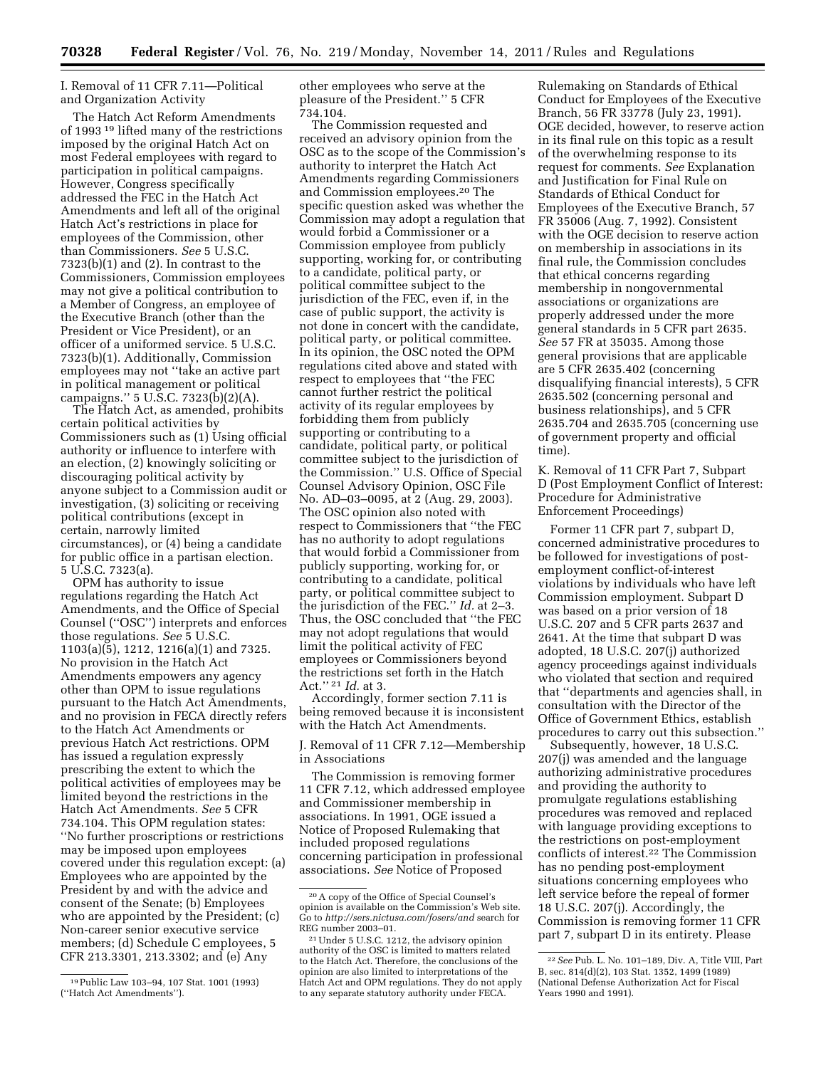# I. Removal of 11 CFR 7.11—Political and Organization Activity

The Hatch Act Reform Amendments of 1993 19 lifted many of the restrictions imposed by the original Hatch Act on most Federal employees with regard to participation in political campaigns. However, Congress specifically addressed the FEC in the Hatch Act Amendments and left all of the original Hatch Act's restrictions in place for employees of the Commission, other than Commissioners. *See* 5 U.S.C. 7323(b)(1) and (2). In contrast to the Commissioners, Commission employees may not give a political contribution to a Member of Congress, an employee of the Executive Branch (other than the President or Vice President), or an officer of a uniformed service. 5 U.S.C. 7323(b)(1). Additionally, Commission employees may not ''take an active part in political management or political campaigns.'' 5 U.S.C. 7323(b)(2)(A).

The Hatch Act, as amended, prohibits certain political activities by Commissioners such as (1) Using official authority or influence to interfere with an election, (2) knowingly soliciting or discouraging political activity by anyone subject to a Commission audit or investigation, (3) soliciting or receiving political contributions (except in certain, narrowly limited circumstances), or (4) being a candidate for public office in a partisan election. 5 U.S.C. 7323(a).

OPM has authority to issue regulations regarding the Hatch Act Amendments, and the Office of Special Counsel (''OSC'') interprets and enforces those regulations. *See* 5 U.S.C. 1103(a)(5), 1212, 1216(a)(1) and 7325. No provision in the Hatch Act Amendments empowers any agency other than OPM to issue regulations pursuant to the Hatch Act Amendments, and no provision in FECA directly refers to the Hatch Act Amendments or previous Hatch Act restrictions. OPM has issued a regulation expressly prescribing the extent to which the political activities of employees may be limited beyond the restrictions in the Hatch Act Amendments. *See* 5 CFR 734.104. This OPM regulation states: ''No further proscriptions or restrictions may be imposed upon employees covered under this regulation except: (a) Employees who are appointed by the President by and with the advice and consent of the Senate; (b) Employees who are appointed by the President; (c) Non-career senior executive service members; (d) Schedule C employees, 5 CFR 213.3301, 213.3302; and (e) Any

other employees who serve at the pleasure of the President.'' 5 CFR 734.104.

The Commission requested and received an advisory opinion from the OSC as to the scope of the Commission's authority to interpret the Hatch Act Amendments regarding Commissioners and Commission employees.20 The specific question asked was whether the Commission may adopt a regulation that would forbid a Commissioner or a Commission employee from publicly supporting, working for, or contributing to a candidate, political party, or political committee subject to the jurisdiction of the FEC, even if, in the case of public support, the activity is not done in concert with the candidate, political party, or political committee. In its opinion, the OSC noted the OPM regulations cited above and stated with respect to employees that ''the FEC cannot further restrict the political activity of its regular employees by forbidding them from publicly supporting or contributing to a candidate, political party, or political committee subject to the jurisdiction of the Commission.'' U.S. Office of Special Counsel Advisory Opinion, OSC File No. AD–03–0095, at 2 (Aug. 29, 2003). The OSC opinion also noted with respect to Commissioners that ''the FEC has no authority to adopt regulations that would forbid a Commissioner from publicly supporting, working for, or contributing to a candidate, political party, or political committee subject to the jurisdiction of the FEC.'' *Id.* at 2–3. Thus, the OSC concluded that ''the FEC may not adopt regulations that would limit the political activity of FEC employees or Commissioners beyond the restrictions set forth in the Hatch Act.'' 21 *Id.* at 3.

Accordingly, former section 7.11 is being removed because it is inconsistent with the Hatch Act Amendments.

J. Removal of 11 CFR 7.12—Membership in Associations

The Commission is removing former 11 CFR 7.12, which addressed employee and Commissioner membership in associations. In 1991, OGE issued a Notice of Proposed Rulemaking that included proposed regulations concerning participation in professional associations. *See* Notice of Proposed

Rulemaking on Standards of Ethical Conduct for Employees of the Executive Branch, 56 FR 33778 (July 23, 1991). OGE decided, however, to reserve action in its final rule on this topic as a result of the overwhelming response to its request for comments. *See* Explanation and Justification for Final Rule on Standards of Ethical Conduct for Employees of the Executive Branch, 57 FR 35006 (Aug. 7, 1992). Consistent with the OGE decision to reserve action on membership in associations in its final rule, the Commission concludes that ethical concerns regarding membership in nongovernmental associations or organizations are properly addressed under the more general standards in 5 CFR part 2635. *See* 57 FR at 35035. Among those general provisions that are applicable are 5 CFR 2635.402 (concerning disqualifying financial interests), 5 CFR 2635.502 (concerning personal and business relationships), and 5 CFR 2635.704 and 2635.705 (concerning use of government property and official time).

K. Removal of 11 CFR Part 7, Subpart D (Post Employment Conflict of Interest: Procedure for Administrative Enforcement Proceedings)

Former 11 CFR part 7, subpart D, concerned administrative procedures to be followed for investigations of postemployment conflict-of-interest violations by individuals who have left Commission employment. Subpart D was based on a prior version of 18 U.S.C. 207 and 5 CFR parts 2637 and 2641. At the time that subpart D was adopted, 18 U.S.C. 207(j) authorized agency proceedings against individuals who violated that section and required that ''departments and agencies shall, in consultation with the Director of the Office of Government Ethics, establish procedures to carry out this subsection.''

Subsequently, however, 18 U.S.C. 207(j) was amended and the language authorizing administrative procedures and providing the authority to promulgate regulations establishing procedures was removed and replaced with language providing exceptions to the restrictions on post-employment conflicts of interest.22 The Commission has no pending post-employment situations concerning employees who left service before the repeal of former 18 U.S.C. 207(j). Accordingly, the Commission is removing former 11 CFR part 7, subpart D in its entirety. Please

<sup>19</sup>Public Law 103–94, 107 Stat. 1001 (1993) (''Hatch Act Amendments'').

<sup>20</sup>A copy of the Office of Special Counsel's opinion is available on the Commission's Web site. Go to *<http://sers.nictusa.com/fosers/and>*search for

<sup>&</sup>lt;sup>21</sup> Under 5 U.S.C. 1212, the advisory opinion authority of the OSC is limited to matters related to the Hatch Act. Therefore, the conclusions of the opinion are also limited to interpretations of the Hatch Act and OPM regulations. They do not apply to any separate statutory authority under FECA.

<sup>22</sup>*See* Pub. L. No. 101–189, Div. A, Title VIII, Part B, sec. 814(d)(2), 103 Stat. 1352, 1499 (1989) (National Defense Authorization Act for Fiscal Years 1990 and 1991).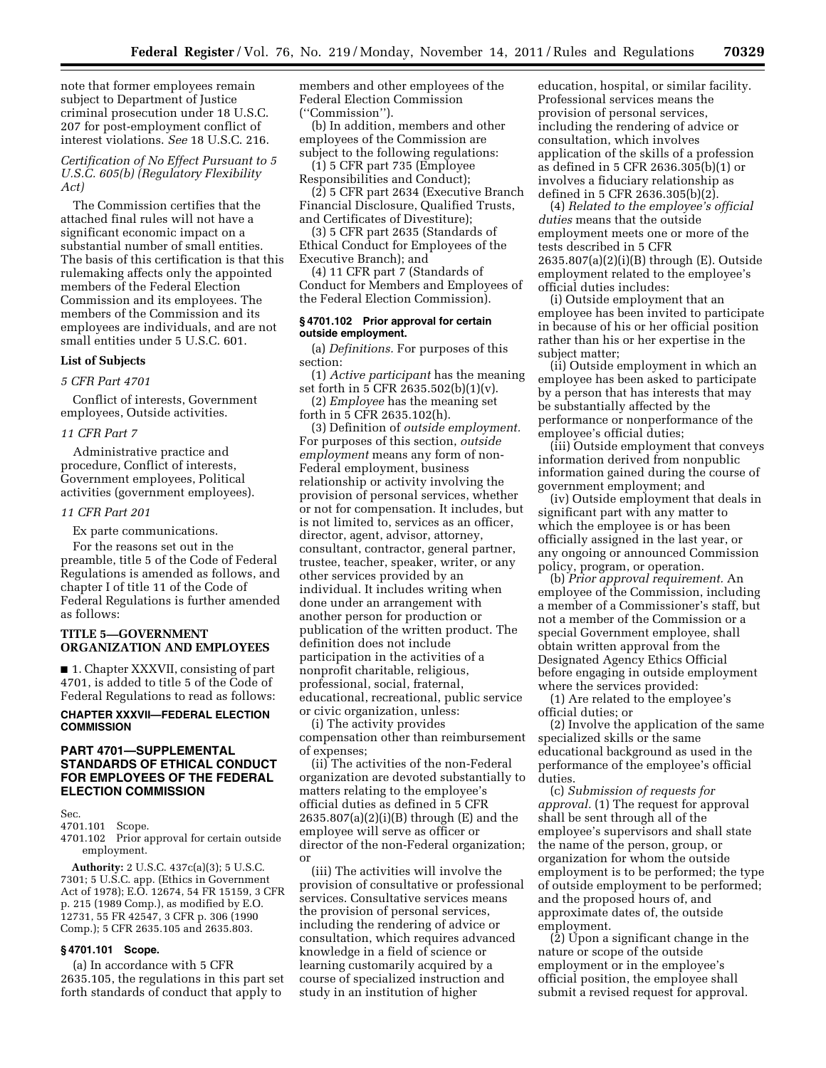note that former employees remain subject to Department of Justice criminal prosecution under 18 U.S.C. 207 for post-employment conflict of interest violations. *See* 18 U.S.C. 216.

## *Certification of No Effect Pursuant to 5 U.S.C. 605(b) (Regulatory Flexibility Act)*

The Commission certifies that the attached final rules will not have a significant economic impact on a substantial number of small entities. The basis of this certification is that this rulemaking affects only the appointed members of the Federal Election Commission and its employees. The members of the Commission and its employees are individuals, and are not small entities under 5 U.S.C. 601.

# **List of Subjects**

#### *5 CFR Part 4701*

Conflict of interests, Government employees, Outside activities.

#### *11 CFR Part 7*

Administrative practice and procedure, Conflict of interests, Government employees, Political activities (government employees).

## *11 CFR Part 201*

Ex parte communications.

For the reasons set out in the preamble, title 5 of the Code of Federal Regulations is amended as follows, and chapter I of title 11 of the Code of Federal Regulations is further amended as follows:

## **TITLE 5—GOVERNMENT ORGANIZATION AND EMPLOYEES**

■ 1. Chapter XXXVII, consisting of part 4701, is added to title 5 of the Code of Federal Regulations to read as follows:

## **CHAPTER XXXVII—FEDERAL ELECTION COMMISSION**

# **PART 4701—SUPPLEMENTAL STANDARDS OF ETHICAL CONDUCT FOR EMPLOYEES OF THE FEDERAL ELECTION COMMISSION**

Sec.

4701.101 Scope.

4701.102 Prior approval for certain outside employment.

**Authority:** 2 U.S.C. 437c(a)(3); 5 U.S.C. 7301; 5 U.S.C. app. (Ethics in Government Act of 1978); E.O. 12674, 54 FR 15159, 3 CFR p. 215 (1989 Comp.), as modified by E.O. 12731, 55 FR 42547, 3 CFR p. 306 (1990 Comp.); 5 CFR 2635.105 and 2635.803.

## **§ 4701.101 Scope.**

(a) In accordance with 5 CFR 2635.105, the regulations in this part set forth standards of conduct that apply to

members and other employees of the Federal Election Commission (''Commission'').

(b) In addition, members and other employees of the Commission are subject to the following regulations:

(1) 5 CFR part 735 (Employee Responsibilities and Conduct);

(2) 5 CFR part 2634 (Executive Branch Financial Disclosure, Qualified Trusts, and Certificates of Divestiture);

(3) 5 CFR part 2635 (Standards of Ethical Conduct for Employees of the Executive Branch); and

(4) 11 CFR part 7 (Standards of Conduct for Members and Employees of the Federal Election Commission).

### **§ 4701.102 Prior approval for certain outside employment.**

(a) *Definitions.* For purposes of this section:

(1) *Active participant* has the meaning set forth in 5 CFR 2635.502(b)(1)(v).

(2) *Employee* has the meaning set forth in 5 CFR 2635.102(h).

(3) Definition of *outside employment.*  For purposes of this section, *outside employment* means any form of non-Federal employment, business relationship or activity involving the provision of personal services, whether or not for compensation. It includes, but is not limited to, services as an officer, director, agent, advisor, attorney, consultant, contractor, general partner, trustee, teacher, speaker, writer, or any other services provided by an individual. It includes writing when done under an arrangement with another person for production or publication of the written product. The definition does not include participation in the activities of a nonprofit charitable, religious, professional, social, fraternal, educational, recreational, public service or civic organization, unless:

(i) The activity provides compensation other than reimbursement of expenses;

(ii) The activities of the non-Federal organization are devoted substantially to matters relating to the employee's official duties as defined in 5 CFR 2635.807(a)(2)(i)(B) through (E) and the employee will serve as officer or director of the non-Federal organization; or

(iii) The activities will involve the provision of consultative or professional services. Consultative services means the provision of personal services, including the rendering of advice or consultation, which requires advanced knowledge in a field of science or learning customarily acquired by a course of specialized instruction and study in an institution of higher

education, hospital, or similar facility. Professional services means the provision of personal services, including the rendering of advice or consultation, which involves application of the skills of a profession as defined in 5 CFR 2636.305(b)(1) or involves a fiduciary relationship as defined in 5 CFR 2636.305(b)(2).

(4) *Related to the employee's official duties* means that the outside employment meets one or more of the tests described in 5 CFR 2635.807(a)(2)(i)(B) through (E). Outside employment related to the employee's official duties includes:

(i) Outside employment that an employee has been invited to participate in because of his or her official position rather than his or her expertise in the subject matter;

(ii) Outside employment in which an employee has been asked to participate by a person that has interests that may be substantially affected by the performance or nonperformance of the employee's official duties;

(iii) Outside employment that conveys information derived from nonpublic information gained during the course of government employment; and

(iv) Outside employment that deals in significant part with any matter to which the employee is or has been officially assigned in the last year, or any ongoing or announced Commission policy, program, or operation.

(b) *Prior approval requirement.* An employee of the Commission, including a member of a Commissioner's staff, but not a member of the Commission or a special Government employee, shall obtain written approval from the Designated Agency Ethics Official before engaging in outside employment where the services provided:

(1) Are related to the employee's official duties; or

(2) Involve the application of the same specialized skills or the same educational background as used in the performance of the employee's official duties.

(c) *Submission of requests for approval.* (1) The request for approval shall be sent through all of the employee's supervisors and shall state the name of the person, group, or organization for whom the outside employment is to be performed; the type of outside employment to be performed; and the proposed hours of, and approximate dates of, the outside employment.

(2) Upon a significant change in the nature or scope of the outside employment or in the employee's official position, the employee shall submit a revised request for approval.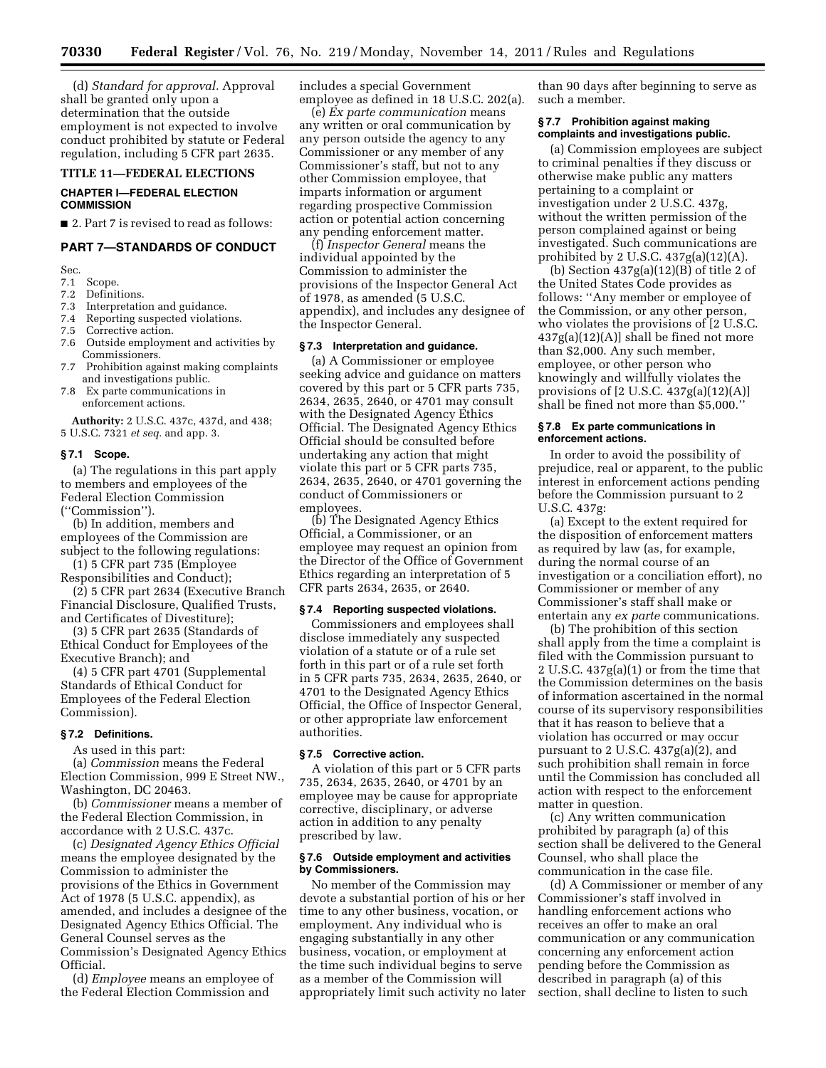(d) *Standard for approval.* Approval shall be granted only upon a determination that the outside employment is not expected to involve conduct prohibited by statute or Federal regulation, including 5 CFR part 2635.

#### **TITLE 11—FEDERAL ELECTIONS**

# **CHAPTER I—FEDERAL ELECTION COMMISSION**

■ 2. Part 7 is revised to read as follows:

## **PART 7—STANDARDS OF CONDUCT**

Sec.

- 7.1 Scope.
- 7.2 Definitions.
- 7.3 Interpretation and guidance.
- 7.4 Reporting suspected violations.<br>7.5 Corrective action.
- Corrective action.
- 7.6 Outside employment and activities by Commissioners.
- 7.7 Prohibition against making complaints and investigations public.
- 7.8 Ex parte communications in enforcement actions.

**Authority:** 2 U.S.C. 437c, 437d, and 438; 5 U.S.C. 7321 *et seq.* and app. 3.

#### **§ 7.1 Scope.**

(a) The regulations in this part apply to members and employees of the Federal Election Commission (''Commission'').

(b) In addition, members and employees of the Commission are subject to the following regulations:

(1) 5 CFR part 735 (Employee Responsibilities and Conduct);

(2) 5 CFR part 2634 (Executive Branch Financial Disclosure, Qualified Trusts, and Certificates of Divestiture);

(3) 5 CFR part 2635 (Standards of Ethical Conduct for Employees of the Executive Branch); and

(4) 5 CFR part 4701 (Supplemental Standards of Ethical Conduct for Employees of the Federal Election Commission).

# **§ 7.2 Definitions.**

As used in this part:

(a) *Commission* means the Federal Election Commission, 999 E Street NW., Washington, DC 20463.

(b) *Commissioner* means a member of the Federal Election Commission, in accordance with 2 U.S.C. 437c.

(c) *Designated Agency Ethics Official*  means the employee designated by the Commission to administer the provisions of the Ethics in Government Act of 1978 (5 U.S.C. appendix), as amended, and includes a designee of the Designated Agency Ethics Official. The General Counsel serves as the Commission's Designated Agency Ethics Official.

(d) *Employee* means an employee of the Federal Election Commission and

includes a special Government employee as defined in 18 U.S.C. 202(a).

(e) *Ex parte communication* means any written or oral communication by any person outside the agency to any Commissioner or any member of any Commissioner's staff, but not to any other Commission employee, that imparts information or argument regarding prospective Commission action or potential action concerning any pending enforcement matter.

(f) *Inspector General* means the individual appointed by the Commission to administer the provisions of the Inspector General Act of 1978, as amended (5 U.S.C. appendix), and includes any designee of the Inspector General.

## **§ 7.3 Interpretation and guidance.**

(a) A Commissioner or employee seeking advice and guidance on matters covered by this part or 5 CFR parts 735, 2634, 2635, 2640, or 4701 may consult with the Designated Agency Ethics Official. The Designated Agency Ethics Official should be consulted before undertaking any action that might violate this part or 5 CFR parts 735, 2634, 2635, 2640, or 4701 governing the conduct of Commissioners or employees.

(b) The Designated Agency Ethics Official, a Commissioner, or an employee may request an opinion from the Director of the Office of Government Ethics regarding an interpretation of 5 CFR parts 2634, 2635, or 2640.

#### **§ 7.4 Reporting suspected violations.**

Commissioners and employees shall disclose immediately any suspected violation of a statute or of a rule set forth in this part or of a rule set forth in 5 CFR parts 735, 2634, 2635, 2640, or 4701 to the Designated Agency Ethics Official, the Office of Inspector General, or other appropriate law enforcement authorities.

## **§ 7.5 Corrective action.**

A violation of this part or 5 CFR parts 735, 2634, 2635, 2640, or 4701 by an employee may be cause for appropriate corrective, disciplinary, or adverse action in addition to any penalty prescribed by law.

## **§ 7.6 Outside employment and activities by Commissioners.**

No member of the Commission may devote a substantial portion of his or her time to any other business, vocation, or employment. Any individual who is engaging substantially in any other business, vocation, or employment at the time such individual begins to serve as a member of the Commission will appropriately limit such activity no later

than 90 days after beginning to serve as such a member.

### **§ 7.7 Prohibition against making complaints and investigations public.**

(a) Commission employees are subject to criminal penalties if they discuss or otherwise make public any matters pertaining to a complaint or investigation under 2 U.S.C. 437g, without the written permission of the person complained against or being investigated. Such communications are prohibited by 2 U.S.C. 437g(a)(12)(A).

(b) Section  $437g(a)(12)(B)$  of title 2 of the United States Code provides as follows: ''Any member or employee of the Commission, or any other person, who violates the provisions of [2 U.S.C.  $437g(a)(12)(A)$  shall be fined not more than \$2,000. Any such member, employee, or other person who knowingly and willfully violates the provisions of [2 U.S.C. 437g(a)(12)(A)] shall be fined not more than \$5,000.''

### **§ 7.8 Ex parte communications in enforcement actions.**

In order to avoid the possibility of prejudice, real or apparent, to the public interest in enforcement actions pending before the Commission pursuant to 2 U.S.C. 437g:

(a) Except to the extent required for the disposition of enforcement matters as required by law (as, for example, during the normal course of an investigation or a conciliation effort), no Commissioner or member of any Commissioner's staff shall make or entertain any *ex parte* communications.

(b) The prohibition of this section shall apply from the time a complaint is filed with the Commission pursuant to 2 U.S.C. 437g(a)(1) or from the time that the Commission determines on the basis of information ascertained in the normal course of its supervisory responsibilities that it has reason to believe that a violation has occurred or may occur pursuant to 2 U.S.C. 437g(a)(2), and such prohibition shall remain in force until the Commission has concluded all action with respect to the enforcement matter in question.

(c) Any written communication prohibited by paragraph (a) of this section shall be delivered to the General Counsel, who shall place the communication in the case file.

(d) A Commissioner or member of any Commissioner's staff involved in handling enforcement actions who receives an offer to make an oral communication or any communication concerning any enforcement action pending before the Commission as described in paragraph (a) of this section, shall decline to listen to such